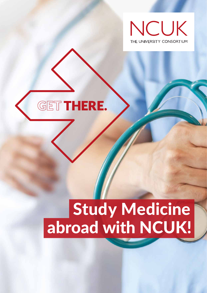



# Study Medicine abroad with NCUK!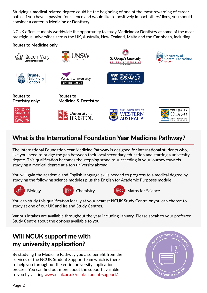Studying a **medical-related** degree could be the beginning of one of the most rewarding of career paths. If you have a passion for science and would like to positively impact others' lives, you should consider a career in **Medicine or Dentistry**.

NCUK offers students worldwide the opportunity to study **Medicine or Dentistry** at some of the most prestigious universities across the UK, Australia, New Zealand, Malta and the Caribbean, including:

#### **Routes to Medicine only:**



## What is the International Foundation Year Medicine Pathway?

The International Foundation Year Medicine Pathway is designed for international students who, like you, need to bridge the gap between their local secondary education and starting a university degree. This qualification becomes the stepping stone to succeeding in your journey towards studying a medical degree at a top university abroad.

You will gain the academic and English language skills needed to progress to a medical degree by studying the following science modules plus the English for Academic Purposes module:









Biology **Chemistry Chemistry Chemistry Maths for Science** 

You can study this qualification locally at your nearest NCUK Study Centre or you can choose to study at one of our UK and Ireland Study Centres.

Various intakes are available throughout the year including January. Please speak to your preferred Study Centre about the options available to you.

# Will NCUK support me with my university application?

By studying the Medicine Pathway you also benefit from the services of the NCUK Student Support team which is there to help you throughout the entire university application process. You can find out more about the support available to you by visiting [www.ncuk.ac.uk/ncuk-student-support/](http://www.ncuk.ac.uk/ncuk-student-support/)

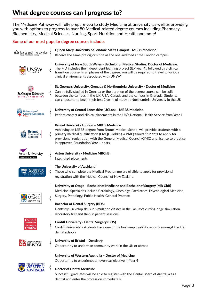# What degree courses can I progress to?

The Medicine Pathway will fully prepare you to study Medicine at university, as well as providing you with options to progress to over 80 Medical-related degree courses including Pharmacy, Biochemistry, Medical Sciences, Nursing, Sport Nutrition and Health and more!

#### **Some of our most popular degree courses include:**

|                                                      | Queen Mary University of London: Malta Campus - MBBS Medicine<br>Receive the same prestigious title as the one awarded at the London campus.                                                                                                                                                                                                                           |
|------------------------------------------------------|------------------------------------------------------------------------------------------------------------------------------------------------------------------------------------------------------------------------------------------------------------------------------------------------------------------------------------------------------------------------|
|                                                      | University of New South Wales - Bachelor of Medical Studies, Doctor of Medicine.<br>The MD includes the independent learning project (ILP year 4), followed by a clinical<br>transition course. In all phases of the degree, you will be required to travel to various<br>clinical environments associated with UNSW.                                                  |
| St. George's University<br><b>SCHOOL OF MEDICINE</b> | St. George's University, Grenada & Northumbria University - Doctor of Medicine<br>Can be fully studied in Grenada or the duration of the degree course can be split<br>between the campus in the UK, USA, Canada and the campus in Grenada. Students<br>can choose to to begin their first 2 years of study at Northumbria University in the UK                        |
| University of<br>Central Lancashire                  | University of Central Lancashire (UCLan) - MBBS Medicine<br>Patient contact and clinical placements in the UK's National Health Service from Year 1                                                                                                                                                                                                                    |
|                                                      | <b>Brunel University London - MBBS Medicine</b><br>Achieving an MBBS degree from Brunel Medical School will provide students with a<br>primary medical qualification (PMQ). Holding a PMQ allows students to apply for<br>provisional registration with the General Medical Council (GMC) and license to practise<br>in approved Foundation Year 1 posts.              |
| Aston University<br><b>BIRMINGHAM UK</b>             | <b>Aston University - Medicine MBChB</b><br>Integrated placements                                                                                                                                                                                                                                                                                                      |
|                                                      | The University of Auckland<br>Those who complete the Medical Programme are eligible to apply for provisional<br>registration with the Medical Council of New Zealand.                                                                                                                                                                                                  |
| Te Whare Wananga o Otãgo<br>NEW ZEALAND              | University of Otago - Bachelor of Medicine and Bachelor of Surgery (MB ChB)<br>Medicine: Specialties include Cardiology, Oncology, Paediatrics, Psychological Medicine,<br>Surgery, Pathology, Public Health, General Practice.<br><b>Bachelor of Dental Surgery (BDS)</b><br>Dentistry: Develop skills in simulation classes in the Faculty's cutting-edge simulation |
| <b>ARDIF</b><br><b>CAERDY&amp;</b>                   | laboratory first and then in patient sessions.<br><b>Cardiff University - Dental Surgery (BDS)</b><br>Cardiff University's students have one of the best employability records amongst the UK<br>dental schools                                                                                                                                                        |
| & University of<br><b>S</b> BRISTOL                  | University of Bristol - Dentistry<br>Opportunity to undertake community work in the UK or abroad                                                                                                                                                                                                                                                                       |
| THE UNIVERSITY OF                                    | University of Western Australia - Doctor of Medicine<br>Opportunity to experience an overseas elective in Year 4<br><b>Doctor of Dental Medicine</b><br>Successful graduates will be able to register with the Dental Board of Australia as a<br>dentist and enter the profession immediately                                                                          |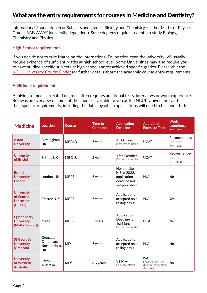### <span id="page-3-0"></span>What are the entry requirements for courses in Medicine and Dentistry?

International Foundation Year Subjects and grades: Biology and Chemistry + either Maths or Physics. Grades AAB-A\*A\*A\* (university dependent). Some degrees require students to study Biology, Chemistry and Physics.

#### **High School requirements**

If you decide not to take Maths on the International Foundation Year, the university will usually require evidence of sufficient Maths at high school level. Some Universities may also require you to have studied specific subjects at high school and/or achieved specific grades. Please visit the [NCUK University Course Finder](https://www.ncuk.ac.uk/ncuk-qualifications/ncuk-entry-directory/) for further details about the academic course entry requirements.

#### **Additional requirements**

Applying to medical-related degrees often requires additional tests, interviews or work experience. Below is an overview of some of the courses available to you at the NCUK Universities and their specific requirements, including the dates by which applications will need to be submitted:

| <b>Medicine</b>                                          | <b>Location</b>                                     | <b>Course</b> | <b>Time to</b><br><b>Complete</b> | <b>Application</b><br><b>Deadline</b>                                       | <b>Additional</b><br><b>Exams to Take</b>                           | <b>Work</b><br>experience<br>required |
|----------------------------------------------------------|-----------------------------------------------------|---------------|-----------------------------------|-----------------------------------------------------------------------------|---------------------------------------------------------------------|---------------------------------------|
| <b>Aston</b><br><b>University</b>                        | Birmingham,<br><b>UK</b>                            | <b>MBChB</b>  | 5 years                           | 15 October<br>(September intake)                                            | <b>UCAT</b>                                                         | Recommended<br>but not<br>required    |
| <b>University</b><br>of Bristol                          | Bristol, UK                                         | <b>MBChB</b>  | 5 years                           | 15th October<br>(September intake)                                          | <b>UCAT</b>                                                         | Recommended<br>but not<br>required    |
| <b>Brunel</b><br><b>University</b><br><b>London</b>      | London, UK                                          | <b>MBBS</b>   | 5 years                           | Next intake<br>is Sep 2022,<br>application<br>deadline not<br>yet published | N/A                                                                 | <b>No</b>                             |
| <b>University</b><br>of Central<br>Lancashire<br>(UCLan) | Preston, UK                                         | <b>MBBS</b>   | 5 years                           | Applications<br>accepted on a<br>rolling basis                              | N/A                                                                 | Yes                                   |
| <b>Queen Mary</b><br><b>University</b><br>(Malta Campus) | Malta                                               | <b>MBBS</b>   | 5 years                           | Application<br>Deadline is<br>1st March<br>(September intake)               | <b>UCAT</b>                                                         | <b>No</b>                             |
| <b>St George's</b><br><b>University</b><br>(Grenada)     | Grenada,<br>Caribbean/<br>Northumbria,<br><b>UK</b> | <b>MD</b>     | 5 years                           | Applications<br>accepted on a<br>rolling basis                              | N/A                                                                 | <b>No</b>                             |
| <b>University</b><br>of Western<br><b>Australia</b>      | Perth,<br>Australia                                 | $MD*$         | 6-7years                          | 31 May<br>(January Intake)                                                  | <b>ISAT</b><br>must be taken by<br>31 May (application<br>deadline) | No                                    |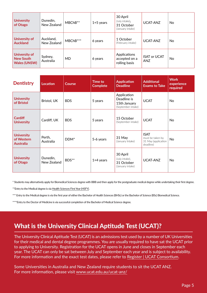| <b>University</b><br>of Otago                                   | Dunedin,<br>New Zealand  | MBChB**   | $1+5$ years | 30 April<br>(July intake),<br>31 October<br>(January intake) | UCAT-ANZ                   | No. |
|-----------------------------------------------------------------|--------------------------|-----------|-------------|--------------------------------------------------------------|----------------------------|-----|
| University of<br><b>Auckland</b>                                | Auckland,<br>New Zealand | MBChB***  | 6 years     | 1 October<br>(February intake)                               | UCAT-ANZ                   | No  |
| <b>University of</b><br><b>New South</b><br><b>Wales (UNSW)</b> | Sydney,<br>Australia     | <b>MD</b> | 6 years     | Applications<br>accepted on a<br>rolling basis               | <b>ISAT or UCAT</b><br>ANZ | No. |

| <b>Dentistry</b>                                    | Location                | <b>Course</b>    | Time to<br><b>Complete</b> | <b>Application</b><br><b>Deadline</b>                            | <b>Additional</b><br><b>Exams to Take</b>                           | <b>Work</b><br>experience<br>required |
|-----------------------------------------------------|-------------------------|------------------|----------------------------|------------------------------------------------------------------|---------------------------------------------------------------------|---------------------------------------|
| <b>University</b><br>of Bristol                     | Bristol, UK             | <b>BDS</b>       | 5 years                    | Application<br>Deadline is<br>15th January<br>(September intake) | <b>UCAT</b>                                                         | <b>No</b>                             |
| <b>Cardiff</b><br><b>University</b>                 | Cardiff, UK             | <b>BDS</b>       | 5 years                    | 15 October<br>(September intake)                                 | <b>UCAT</b>                                                         | <b>No</b>                             |
| <b>University</b><br>of Western<br><b>Australia</b> | Perth,<br>Australia     | DDM <sup>*</sup> | 5-6 years                  | 31 May<br>(January Intake)                                       | <b>ISAT</b><br>must be taken by<br>31 May (application<br>deadline) | <b>No</b>                             |
| <b>University</b><br>of Otago                       | Dunedin,<br>New Zealand | BDS**            | $1+4$ years                | 30 April<br>(July intake),<br>31 October<br>(January intake)     | UCAT-ANZ                                                            | <b>No</b>                             |

\* Students may alternatively apply for Biomedical Sciences degree with BBB and then apply for the postgraduate medical degree while undertaking their first degree.

\*\*Entry to the Medical degree is via [Health Sciences First Year \(HSFY\)](https://www.otago.ac.nz/healthsciences/students/undergraduate/otago031364.html?ssSourceSiteId=OtagoCorporate).

\*\*\* Entry to the Medical degree is via the first year of either the Bachelor of Health Sciences (BHSc) or the Bachelor of Science (BSc) Biomedical Science.

\*\*\*\*Entry to the Doctor of Medicine is via successful completion of the Bachelor of Medical Science degree.

## What is the University Clinical Aptitude Test (UCAT)?

The University Clinical Aptitude Test (UCAT) is an admissions test used by a number of UK Universities for their medical and dental degree programmes. You are usually required to have sat the UCAT prior to applying to University. Registration for the UCAT opens in June and closes in September each year. The UCAT can only be sat between July and September each year and is subject to availability. For more information and the exact test dates, please refer to [Register | UCAT Consortium](https://www.ucat.ac.uk/register/).

Some Universities in Australia and New Zealand require students to sit the UCAT ANZ. For more information, please visit [www.ucat.edu.au/ucat-anz/](https://www.ucat.edu.au/ucat-anz/)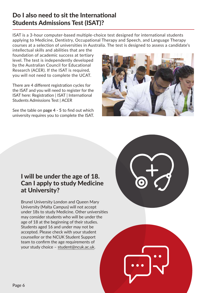## Do I also need to sit the International Students Admissions Test (ISAT)?

ISAT is a 3-hour computer-based multiple-choice test designed for international students applying to Medicine, Dentistry, Occupational Therapy and Speech, and Language Therapy courses at a selection of universities in Australia. The test is designed to assess a candidate's

intellectual skills and abilities that are the foundation of academic success at tertiary level. The test is independently developed by the Australian Council for Educational Research (ACER). If the ISAT is required, you will not need to complete the UCAT.

There are 4 different registration cycles for the ISAT and you will need to register for the ISAT here: Registration | ISAT | International Students Admissions Test | ACER

See the table on **[page 4 - 5](#page-3-0)** to find out which university requires you to complete the ISAT.



## I will be under the age of 18. Can I apply to study Medicine at University?

Brunel University London and Queen Mary University (Malta Campus) will not accept under 18s to study Medicine. Other universities may consider students who will be under the age of 18 at the beginning of their studies. Students aged 16 and under may not be accepted. Please check with your student counsellor or the NCUK Student Support team to confirm the age requirements of your study choice – [student@ncuk.ac.uk.](mailto:student%40ncuk.ac.uk?subject=)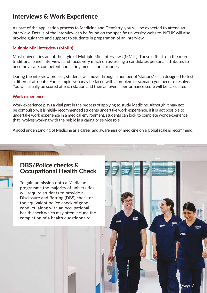## Interviews & Work Experience

As part of the application process to Medicine and Dentistry, you will be expected to attend an interview. Details of the interview can be found on the specific university website. NCUK will also provide guidance and support to students in preparation of an interview.

#### **Multiple Mini Interviews (MMI's)**

Most universities adapt the style of Multiple Mini Interviews (MMI's). These differ from the more traditional panel interviews and focus very much on assessing a candidates personal attributes to become a safe, competent and caring medical practitioner.

During the interview process, students will move through a number of 'stations', each designed to test a different attribute. For example, you may be faced with a problem or scenario you need to resolve. You will usually be scored at each station and then an overall performance score will be calculated.

#### **Work experience**

Work experience plays a vital part in the process of applying to study Medicine. Although it may not be compulsory, it is highly recommended students undertake work experience. If it is not possible to undertake work experience in a medical environment, students can look to complete work experience that involves working with the public in a caring or service role.

A good understanding of Medicine as a career and awareness of medicine on a global scale is recommend.

## DBS/Police checks & Occupational Health Check

To gain admission onto a Medicine programme,the majority of universities will require students to provide a Disclosure and Barring (DBS) check or the equivalent police check of good conduct, along with an occupational health check which may often include the completion of a health questionnaire.